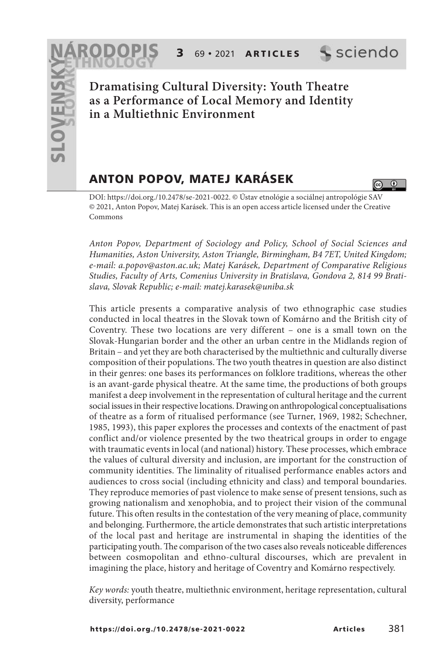**3** 69 • 2021 **A R T I C L E S**

sciendo

 $\overline{a}$ 

**Dramatising Cultural Diversity: Youth Theatre as a Performance of Local Memory and Identity in a Multiethnic Environment**

# **ANTON POPOV, MATEJ KARÁSEK**

DOI: https://doi.org./10.2478/se-2021-0022. © Ústav etnológie a sociálnej antropológie SAV © 2021, Anton Popov, Matej Karásek. This is an open access article licensed under the Creative Commons

Anton Popov, Department of Sociology and Policy, School of Social Sciences and Humanities, Aston University, Aston Triangle, Birmingham, B4 7ET, United Kingdom; e-mail: a.popov@aston.ac.uk; Matej Karásek, Department of Comparative Religious Studies, Faculty of Arts, Comenius University in Bratislava, Gondova 2, 814 99 Bratislava, Slovak Republic; e-mail: matej.karasek@uniba.sk

This article presents a comparative analysis of two ethnographic case studies conducted in local theatres in the Slovak town of Komárno and the British city of Coventry. These two locations are very different – one is a small town on the Slovak-Hungarian border and the other an urban centre in the Midlands region of Britain – and yet they are both characterised by the multiethnic and culturally diverse composition of their populations. The two youth theatres in question are also distinct in their genres: one bases its performances on folklore traditions, whereas the other is an avant-garde physical theatre. At the same time, the productions of both groups manifest a deep involvement in the representation of cultural heritage and the current social issues in their respective locations. Drawing on anthropological conceptualisations of theatre as a form of ritualised performance (see Turner, 1969, 1982; Schechner, 1985, 1993), this paper explores the processes and contexts of the enactment of past conflict and/or violence presented by the two theatrical groups in order to engage with traumatic events in local (and national) history. These processes, which embrace the values of cultural diversity and inclusion, are important for the construction of community identities. The liminality of ritualised performance enables actors and audiences to cross social (including ethnicity and class) and temporal boundaries. They reproduce memories of past violence to make sense of present tensions, such as growing nationalism and xenophobia, and to project their vision of the communal future. This often results in the contestation of the very meaning of place, community and belonging. Furthermore, the article demonstrates that such artistic interpretations of the local past and heritage are instrumental in shaping the identities of the participating youth. The comparison of the two cases also reveals noticeable differences between cosmopolitan and ethno-cultural discourses, which are prevalent in imagining the place, history and heritage of Coventry and Komárno respectively.

Key words: youth theatre, multiethnic environment, heritage representation, cultural diversity, performance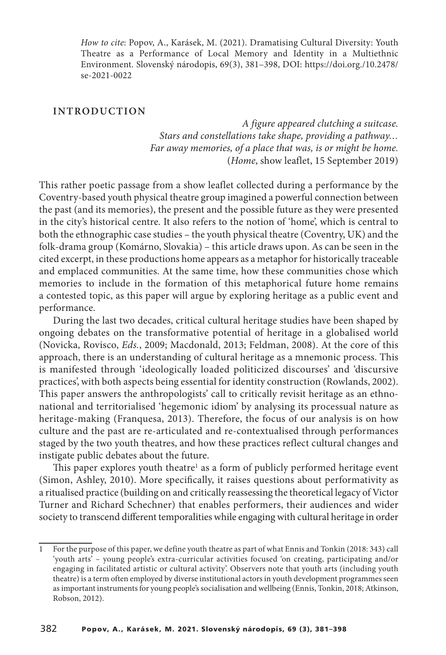How to cite: Popov, A., Karásek, M. (2021). Dramatising Cultural Diversity: Youth Theatre as a Performance of Local Memory and Identity in a Multiethnic Environment. Slovenský národopis, 69(3), 381–398, DOI: https://doi.org./10.2478/ se-2021-0022

#### **INTRODUCTION**

A figure appeared clutching a suitcase. Stars and constellations take shape, providing a pathway… Far away memories, of a place that was, is or might be home. (Home, show leaflet, 15 September 2019)

This rather poetic passage from a show leaflet collected during a performance by the Coventry-based youth physical theatre group imagined a powerful connection between the past (and its memories), the present and the possible future as they were presented in the city's historical centre. It also refers to the notion of 'home', which is central to both the ethnographic case studies – the youth physical theatre (Coventry, UK) and the folk-drama group (Komárno, Slovakia) – this article draws upon. As can be seen in the cited excerpt, in these productions home appears as a metaphor for historically traceable and emplaced communities. At the same time, how these communities chose which memories to include in the formation of this metaphorical future home remains a contested topic, as this paper will argue by exploring heritage as a public event and performance.

During the last two decades, critical cultural heritage studies have been shaped by ongoing debates on the transformative potential of heritage in a globalised world (Novicka, Rovisco, Eds., 2009; Macdonald, 2013; Feldman, 2008). At the core of this approach, there is an understanding of cultural heritage as a mnemonic process. This is manifested through 'ideologically loaded politicized discourses' and 'discursive practices', with both aspects being essential for identity construction (Rowlands, 2002). This paper answers the anthropologists' call to critically revisit heritage as an ethnonational and territorialised 'hegemonic idiom' by analysing its processual nature as heritage-making (Franquesa, 2013). Therefore, the focus of our analysis is on how culture and the past are re-articulated and re-contextualised through performances staged by the two youth theatres, and how these practices reflect cultural changes and instigate public debates about the future.

This paper explores youth theatre<sup>1</sup> as a form of publicly performed heritage event (Simon, Ashley, 2010). More specifically, it raises questions about performativity as a ritualised practice (building on and critically reassessing the theoretical legacy of Victor Turner and Richard Schechner) that enables performers, their audiences and wider society to transcend different temporalities while engaging with cultural heritage in order

<sup>1</sup> For the purpose of this paper, we define youth theatre as part of what Ennis and Tonkin (2018: 343) call 'youth arts' – young people's extra-curricular activities focused 'on creating, participating and/or engaging in facilitated artistic or cultural activity'. Observers note that youth arts (including youth theatre) is a term often employed by diverse institutional actors in youth development programmes seen as important instruments for young people's socialisation and wellbeing (Ennis, Tonkin, 2018; Atkinson, Robson, 2012).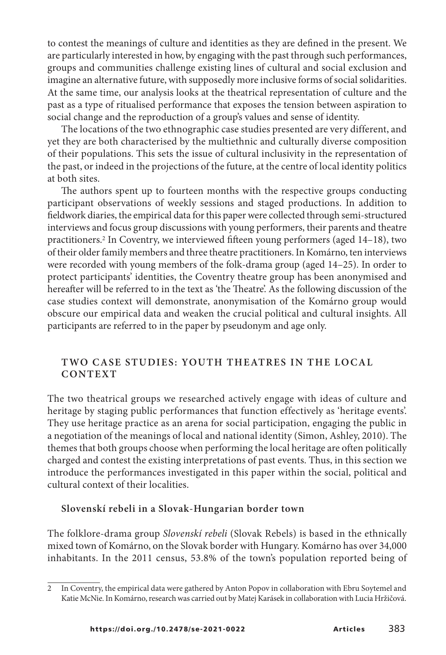to contest the meanings of culture and identities as they are defined in the present. We are particularly interested in how, by engaging with the past through such performances, groups and communities challenge existing lines of cultural and social exclusion and imagine an alternative future, with supposedly more inclusive forms of social solidarities. At the same time, our analysis looks at the theatrical representation of culture and the past as a type of ritualised performance that exposes the tension between aspiration to social change and the reproduction of a group's values and sense of identity.

The locations of the two ethnographic case studies presented are very different, and yet they are both characterised by the multiethnic and culturally diverse composition of their populations. This sets the issue of cultural inclusivity in the representation of the past, or indeed in the projections of the future, at the centre of local identity politics at both sites.

The authors spent up to fourteen months with the respective groups conducting participant observations of weekly sessions and staged productions. In addition to fieldwork diaries, the empirical data for this paper were collected through semi-structured interviews and focus group discussions with young performers, their parents and theatre practitioners.<sup>2</sup> In Coventry, we interviewed fifteen young performers (aged 14–18), two of their older family members and three theatre practitioners. In Komárno, ten interviews were recorded with young members of the folk-drama group (aged 14–25). In order to protect participants' identities, the Coventry theatre group has been anonymised and hereafter will be referred to in the text as 'the Theatre'. As the following discussion of the case studies context will demonstrate, anonymisation of the Komárno group would obscure our empirical data and weaken the crucial political and cultural insights. All participants are referred to in the paper by pseudonym and age only.

### **TWO CASE STUDIES: YOUTH THEATRES IN THE LOCAL CONTEXT**

The two theatrical groups we researched actively engage with ideas of culture and heritage by staging public performances that function effectively as 'heritage events'. They use heritage practice as an arena for social participation, engaging the public in a negotiation of the meanings of local and national identity (Simon, Ashley, 2010). The themes that both groups choose when performing the local heritage are often politically charged and contest the existing interpretations of past events. Thus, in this section we introduce the performances investigated in this paper within the social, political and cultural context of their localities.

### **Slovenskí rebeli in a Slovak-Hungarian border town**

The folklore-drama group Slovenskí rebeli (Slovak Rebels) is based in the ethnically mixed town of Komárno, on the Slovak border with Hungary. Komárno has over 34,000 inhabitants. In the 2011 census, 53.8% of the town's population reported being of

<sup>2</sup> In Coventry, the empirical data were gathered by Anton Popov in collaboration with Ebru Soytemel and Katie McNie. In Komárno, research was carried out by Matej Karásek in collaboration with Lucia Hržičová.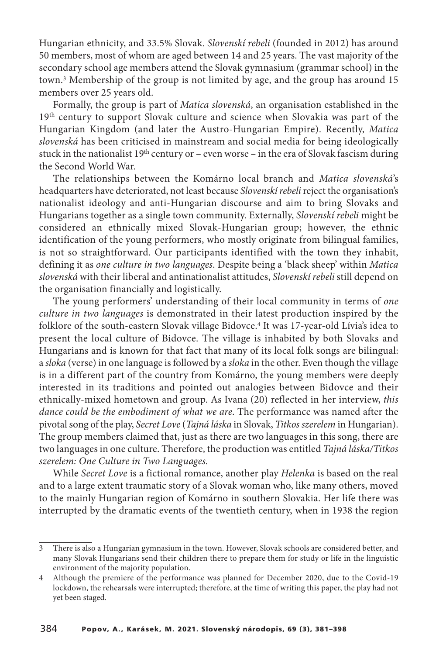Hungarian ethnicity, and 33.5% Slovak. Slovenskí rebeli (founded in 2012) has around 50 members, most of whom are aged between 14 and 25 years. The vast majority of the secondary school age members attend the Slovak gymnasium (grammar school) in the town. <sup>3</sup> Membership of the group is not limited by age, and the group has around 15 members over 25 years old.

Formally, the group is part of Matica slovenská, an organisation established in the 19<sup>th</sup> century to support Slovak culture and science when Slovakia was part of the Hungarian Kingdom (and later the Austro-Hungarian Empire). Recently, Matica slovenská has been criticised in mainstream and social media for being ideologically stuck in the nationalist 19th century or – even worse – in the era of Slovak fascism during the Second World War.

The relationships between the Komárno local branch and Matica slovenská's headquarters have deteriorated, not least because Slovenskí rebeli reject the organisation's nationalist ideology and anti-Hungarian discourse and aim to bring Slovaks and Hungarians together as a single town community. Externally, Slovenskí rebeli might be considered an ethnically mixed Slovak-Hungarian group; however, the ethnic identification of the young performers, who mostly originate from bilingual families, is not so straightforward. Our participants identified with the town they inhabit, defining it as one culture in two languages. Despite being a 'black sheep' within Matica slovenská with their liberal and antinationalist attitudes, Slovenskí rebeli still depend on the organisation financially and logistically.

The young performers' understanding of their local community in terms of one culture in two languages is demonstrated in their latest production inspired by the folklore of the south-eastern Slovak village Bidovce. <sup>4</sup> It was 17-year-old Lívia's idea to present the local culture of Bidovce. The village is inhabited by both Slovaks and Hungarians and is known for that fact that many of its local folk songs are bilingual: a sloka (verse) in one language is followed by a sloka in the other. Even though the village is in a different part of the country from Komárno, the young members were deeply interested in its traditions and pointed out analogies between Bidovce and their ethnically-mixed hometown and group. As Ivana (20) reflected in her interview, this dance could be the embodiment of what we are. The performance was named after the pivotal song of the play, Secret Love (Tajná láska in Slovak, Titkos szerelem in Hungarian). The group members claimed that, just as there are two languages in this song, there are two languages in one culture. Therefore, the production was entitled Tajná láska/Titkos szerelem: One Culture in Two Languages.

While Secret Love is a fictional romance, another play Helenka is based on the real and to a large extent traumatic story of a Slovak woman who, like many others, moved to the mainly Hungarian region of Komárno in southern Slovakia. Her life there was interrupted by the dramatic events of the twentieth century, when in 1938 the region

<sup>3</sup> There is also a Hungarian gymnasium in the town. However, Slovak schools are considered better, and many Slovak Hungarians send their children there to prepare them for study or life in the linguistic environment of the majority population.

<sup>4</sup> Although the premiere of the performance was planned for December 2020, due to the Covid-19 lockdown, the rehearsals were interrupted; therefore, at the time of writing this paper, the play had not yet been staged.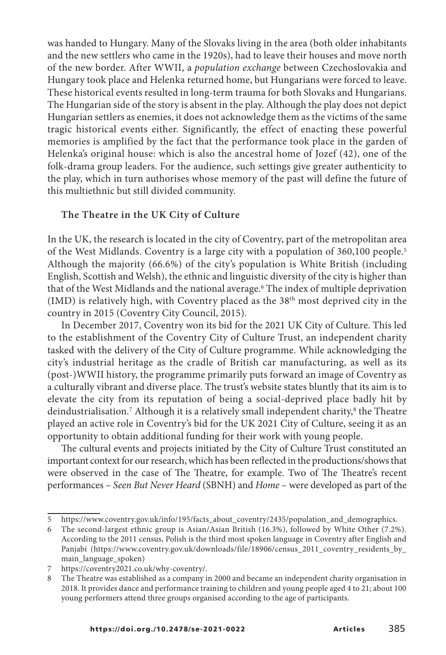was handed to Hungary. Many of the Slovaks living in the area (both older inhabitants and the new settlers who came in the 1920s), had to leave their houses and move north of the new border. After WWII, a population exchange between Czechoslovakia and Hungary took place and Helenka returned home, but Hungarians were forced to leave. These historical events resulted in long-term trauma for both Slovaks and Hungarians. The Hungarian side of the story is absent in the play. Although the play does not depict Hungarian settlers as enemies, it does not acknowledge them as the victims of the same tragic historical events either. Significantly, the effect of enacting these powerful memories is amplified by the fact that the performance took place in the garden of Helenka's original house: which is also the ancestral home of Jozef (42), one of the folk-drama group leaders. For the audience, such settings give greater authenticity to the play, which in turn authorises whose memory of the past will define the future of this multiethnic but still divided community.

# **The Theatre in the UK City of Culture**

In the UK, the research is located in the city of Coventry, part of the metropolitan area of the West Midlands. Coventry is a large city with a population of 360,100 people. 5 Although the majority (66.6%) of the city's population is White British (including English, Scottish and Welsh), the ethnic and linguistic diversity of the city is higher than that of the West Midlands and the national average. <sup>6</sup> The index of multiple deprivation (IMD) is relatively high, with Coventry placed as the 38th most deprived city in the country in 2015 (Coventry City Council, 2015).

In December 2017, Coventry won its bid for the 2021 UK City of Culture. This led to the establishment of the Coventry City of Culture Trust, an independent charity tasked with the delivery of the City of Culture programme. While acknowledging the city's industrial heritage as the cradle of British car manufacturing, as well as its (post-)WWII history, the programme primarily puts forward an image of Coventry as a culturally vibrant and diverse place. The trust's website states bluntly that its aim is to elevate the city from its reputation of being a social-deprived place badly hit by deindustrialisation. <sup>7</sup> Although it is a relatively small independent charity, <sup>8</sup> the Theatre played an active role in Coventry's bid for the UK 2021 City of Culture, seeing it as an opportunity to obtain additional funding for their work with young people.

The cultural events and projects initiated by the City of Culture Trust constituted an important context for our research, which has been reflected in the productions/shows that were observed in the case of The Theatre, for example. Two of The Theatre's recent performances – Seen But Never Heard (SBNH) and Home – were developed as part of the

<sup>5</sup> https://www.coventry.gov.uk/info/195/facts\_about\_coventry/2435/population\_and\_demographics.

<sup>6</sup> The second-largest ethnic group is Asian/Asian British (16.3%), followed by White Other (7.2%). According to the 2011 census, Polish is the third most spoken language in Coventry after English and Panjabi (https://www.coventry.gov.uk/downloads/file/18906/census\_2011\_coventry\_residents\_by\_ main\_language\_spoken)

<sup>7</sup> https://coventry2021.co.uk/why-coventry/.

<sup>8</sup> The Theatre was established as a company in 2000 and became an independent charity organisation in 2018. It provides dance and performance training to children and young people aged 4 to 21; about 100 young performers attend three groups organised according to the age of participants.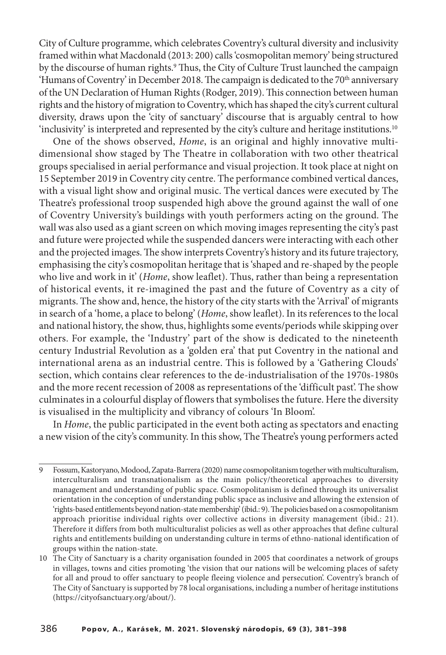City of Culture programme, which celebrates Coventry's cultural diversity and inclusivity framed within what Macdonald (2013: 200) calls 'cosmopolitan memory' being structured by the discourse of human rights.<sup>9</sup> Thus, the City of Culture Trust launched the campaign 'Humans of Coventry' in December 2018. The campaign is dedicated to the  $70<sup>th</sup>$  anniversary of the UN Declaration of Human Rights (Rodger, 2019). This connection between human rights and the history of migration to Coventry, which has shaped the city's current cultural diversity, draws upon the 'city of sanctuary' discourse that is arguably central to how 'inclusivity' is interpreted and represented by the city's culture and heritage institutions. 10

One of the shows observed, Home, is an original and highly innovative multidimensional show staged by The Theatre in collaboration with two other theatrical groups specialised in aerial performance and visual projection. It took place at night on 15 September 2019 in Coventry city centre. The performance combined vertical dances, with a visual light show and original music. The vertical dances were executed by The Theatre's professional troop suspended high above the ground against the wall of one of Coventry University's buildings with youth performers acting on the ground. The wall was also used as a giant screen on which moving images representing the city's past and future were projected while the suspended dancers were interacting with each other and the projected images. The show interprets Coventry's history and its future trajectory, emphasising the city's cosmopolitan heritage that is 'shaped and re-shaped by the people who live and work in it' (Home, show leaflet). Thus, rather than being a representation of historical events, it re-imagined the past and the future of Coventry as a city of migrants. The show and, hence, the history of the city starts with the 'Arrival' of migrants in search of a 'home, a place to belong' (Home, show leaflet). In its references to the local and national history, the show, thus, highlights some events/periods while skipping over others. For example, the 'Industry' part of the show is dedicated to the nineteenth century Industrial Revolution as a 'golden era' that put Coventry in the national and international arena as an industrial centre. This is followed by a 'Gathering Clouds' section, which contains clear references to the de-industrialisation of the 1970s-1980s and the more recent recession of 2008 as representations of the 'difficult past'. The show culminatesin a colourful display of flowersthatsymbolisesthe future. Here the diversity is visualised in the multiplicity and vibrancy of colours 'In Bloom'.

In *Home*, the public participated in the event both acting as spectators and enacting a new vision of the city's community. In thisshow, The Theatre's young performers acted

<sup>9</sup> Fossum,Kastoryano,Modood,Zapata-Barrera (2020) name cosmopolitanism togetherwith multiculturalism, interculturalism and transnationalism as the main policy/theoretical approaches to diversity management and understanding of public space. Cosmopolitanism is defined through its universalist orientation in the conception of understanding public space as inclusive and allowing the extension of 'rights-based entitlements beyond nation-state membership' (ibid.: 9). The policies based on a cosmopolitanism approach prioritise individual rights over collective actions in diversity management (ibid.: 21). Therefore it differs from both multiculturalist policies as well as other approaches that define cultural rights and entitlements building on understanding culture in terms of ethno-national identification of groups within the nation-state.

<sup>10</sup> The City of Sanctuary is a charity organisation founded in 2005 that coordinates a network of groups in villages, towns and cities promoting 'the vision that our nations will be welcoming places of safety for all and proud to offer sanctuary to people fleeing violence and persecution'. Coventry's branch of The City of Sanctuary is supported by 78 local organisations, including a number of heritage institutions (https://cityofsanctuary.org/about/).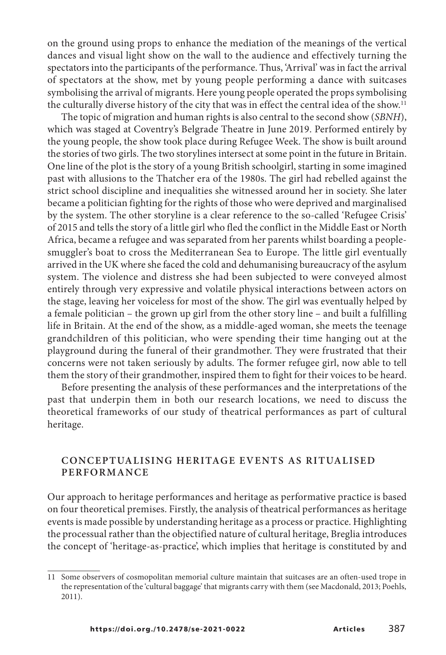on the ground using props to enhance the mediation of the meanings of the vertical dances and visual light show on the wall to the audience and effectively turning the spectators into the participants of the performance. Thus, 'Arrival' was in fact the arrival of spectators at the show, met by young people performing a dance with suitcases symbolising the arrival of migrants. Here young people operated the props symbolising the culturally diverse history of the city that was in effect the central idea of the show. 11

The topic of migration and human rights is also central to the second show (SBNH), which was staged at Coventry's Belgrade Theatre in June 2019. Performed entirely by the young people, the show took place during Refugee Week. The show is built around the stories of two girls. The two storylines intersect at some point in the future in Britain. One line of the plot is the story of a young British schoolgirl, starting in some imagined past with allusions to the Thatcher era of the 1980s. The girl had rebelled against the strict school discipline and inequalities she witnessed around her in society. She later became a politician fighting for the rights of those who were deprived and marginalised by the system. The other storyline is a clear reference to the so-called 'Refugee Crisis' of 2015 and tells the story of a little girl who fled the conflict in the Middle East or North Africa, became a refugee and was separated from her parents whilst boarding a peoplesmuggler's boat to cross the Mediterranean Sea to Europe. The little girl eventually arrived in the UK where she faced the cold and dehumanising bureaucracy of the asylum system. The violence and distress she had been subjected to were conveyed almost entirely through very expressive and volatile physical interactions between actors on the stage, leaving her voiceless for most of the show. The girl was eventually helped by a female politician – the grown up girl from the other story line – and built a fulfilling life in Britain. At the end of the show, as a middle-aged woman, she meets the teenage grandchildren of this politician, who were spending their time hanging out at the playground during the funeral of their grandmother. They were frustrated that their concerns were not taken seriously by adults. The former refugee girl, now able to tell them the story of their grandmother, inspired them to fight for their voices to be heard.

Before presenting the analysis of these performances and the interpretations of the past that underpin them in both our research locations, we need to discuss the theoretical frameworks of our study of theatrical performances as part of cultural heritage.

### **CONCEPTUALISING HERITAGE EVENTS AS RITUALISED PERFORMANCE**

Our approach to heritage performances and heritage as performative practice is based on four theoretical premises. Firstly, the analysis of theatrical performances as heritage events is made possible by understanding heritage as a process or practice. Highlighting the processual rather than the objectified nature of cultural heritage, Breglia introduces the concept of 'heritage-as-practice', which implies that heritage is constituted by and

<sup>11</sup> Some observers of cosmopolitan memorial culture maintain that suitcases are an often-used trope in the representation of the 'cultural baggage' that migrants carry with them (see Macdonald, 2013; Poehls, 2011).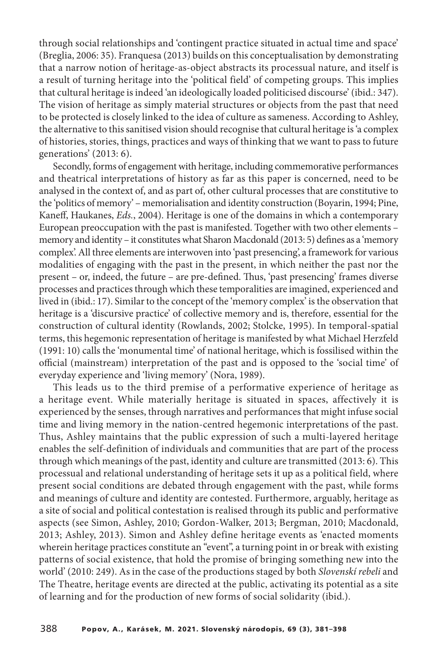through social relationships and 'contingent practice situated in actual time and space' (Breglia, 2006: 35). Franquesa (2013) builds on this conceptualisation by demonstrating that a narrow notion of heritage-as-object abstracts its processual nature, and itself is a result of turning heritage into the 'political field' of competing groups. This implies that cultural heritage isindeed 'an ideologically loaded politicised discourse' (ibid.: 347). The vision of heritage as simply material structures or objects from the past that need to be protected is closely linked to the idea of culture as sameness. According to Ashley, the alternative to thissanitised vision should recognise that cultural heritage is'a complex of histories, stories, things, practices and ways of thinking that we want to pass to future generations' (2013: 6).

Secondly, forms of engagement with heritage, including commemorative performances and theatrical interpretations of history as far as this paper is concerned, need to be analysed in the context of, and as part of, other cultural processes that are constitutive to the 'politics of memory' – memorialisation and identity construction (Boyarin, 1994; Pine, Kaneff, Haukanes, Eds., 2004). Heritage is one of the domains in which a contemporary European preoccupation with the past is manifested. Together with two other elements – memory and identity – it constitutes what Sharon Macdonald (2013: 5) defines as a 'memory complex'.All three elements are interwoven into 'past presencing', a framework for various modalities of engaging with the past in the present, in which neither the past nor the present – or, indeed, the future – are pre-defined. Thus, 'past presencing' frames diverse processes and practicesthroughwhich these temporalities are imagined, experienced and lived in (ibid.: 17). Similar to the concept of the 'memory complex' is the observation that heritage is a 'discursive practice' of collective memory and is, therefore, essential for the construction of cultural identity (Rowlands, 2002; Stolcke, 1995). In temporal-spatial terms, this hegemonic representation of heritage is manifested by what Michael Herzfeld (1991: 10) calls the 'monumental time' of national heritage, which is fossilised within the official (mainstream) interpretation of the past and is opposed to the 'social time' of everyday experience and 'living memory' (Nora, 1989).

This leads us to the third premise of a performative experience of heritage as a heritage event. While materially heritage is situated in spaces, affectively it is experienced by the senses, through narratives and performancesthat might infuse social time and living memory in the nation-centred hegemonic interpretations of the past. Thus, Ashley maintains that the public expression of such a multi-layered heritage enables the self-definition of individuals and communities that are part of the process through which meanings of the past, identity and culture are transmitted (2013: 6). This processual and relational understanding of heritage sets it up as a political field, where present social conditions are debated through engagement with the past, while forms and meanings of culture and identity are contested. Furthermore, arguably, heritage as a site of social and political contestation is realised through its public and performative aspects (see Simon, Ashley, 2010; Gordon-Walker, 2013; Bergman, 2010; Macdonald, 2013; Ashley, 2013). Simon and Ashley define heritage events as 'enacted moments wherein heritage practices constitute an "event", a turning point in or break with existing patterns of social existence, that hold the promise of bringing something new into the world' (2010: 249). As in the case of the productions staged by both Slovenskí rebeli and The Theatre, heritage events are directed at the public, activating its potential as a site of learning and for the production of new forms of social solidarity (ibid.).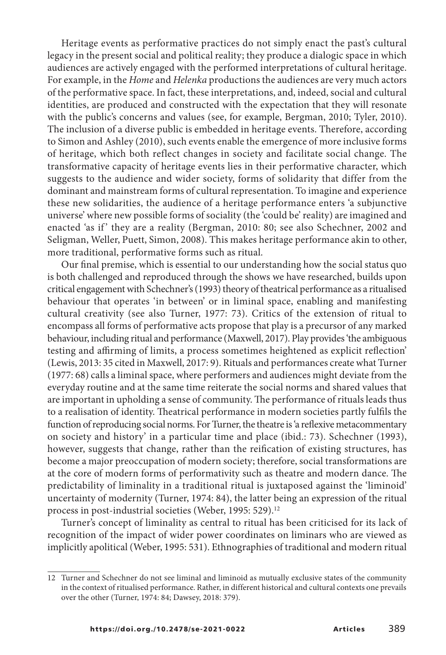Heritage events as performative practices do not simply enact the past's cultural legacy in the present social and political reality; they produce a dialogic space in which audiences are actively engaged with the performed interpretations of cultural heritage. For example, in the Home and Helenka productions the audiences are very much actors of the performative space. In fact, these interpretations, and, indeed, social and cultural identities, are produced and constructed with the expectation that they will resonate with the public's concerns and values (see, for example, Bergman, 2010; Tyler, 2010). The inclusion of a diverse public is embedded in heritage events. Therefore, according to Simon and Ashley (2010), such events enable the emergence of more inclusive forms of heritage, which both reflect changes in society and facilitate social change. The transformative capacity of heritage events lies in their performative character, which suggests to the audience and wider society, forms of solidarity that differ from the dominant and mainstream forms of cultural representation. To imagine and experience these new solidarities, the audience of a heritage performance enters 'a subjunctive universe' where new possible forms of sociality (the 'could be' reality) are imagined and enacted 'as if' they are a reality (Bergman, 2010: 80; see also Schechner, 2002 and Seligman, Weller, Puett, Simon, 2008). This makes heritage performance akin to other, more traditional, performative forms such as ritual.

Our final premise, which is essential to our understanding how the social status quo is both challenged and reproduced through the shows we have researched, builds upon critical engagement with Schechner's (1993) theory of theatrical performance as a ritualised behaviour that operates 'in between' or in liminal space, enabling and manifesting cultural creativity (see also Turner, 1977: 73). Critics of the extension of ritual to encompass all forms of performative acts propose that play is a precursor of any marked behaviour, including ritual and performance (Maxwell, 2017). Play provides'the ambiguous testing and affirming of limits, a process sometimes heightened as explicit reflection' (Lewis, 2013: 35 cited in Maxwell, 2017: 9). Rituals and performances create what Turner (1977: 68) calls a liminal space, where performers and audiences might deviate from the everyday routine and at the same time reiterate the social norms and shared values that are important in upholding a sense of community. The performance of rituals leads thus to a realisation of identity. Theatrical performance in modern societies partly fulfils the function of reproducing social norms. For Turner, the theatre is 'a reflexive metacommentary on society and history' in a particular time and place (ibid.: 73). Schechner (1993), however, suggests that change, rather than the reification of existing structures, has become a major preoccupation of modern society; therefore, social transformations are at the core of modern forms of performativity such as theatre and modern dance. The predictability of liminality in a traditional ritual is juxtaposed against the 'liminoid' uncertainty of modernity (Turner, 1974: 84), the latter being an expression of the ritual process in post-industrial societies (Weber, 1995: 529). 12

Turner's concept of liminality as central to ritual has been criticised for its lack of recognition of the impact of wider power coordinates on liminars who are viewed as implicitly apolitical (Weber, 1995: 531). Ethnographies of traditional and modern ritual

<sup>12</sup> Turner and Schechner do not see liminal and liminoid as mutually exclusive states of the community in the context of ritualised performance. Rather, in different historical and cultural contexts one prevails over the other (Turner, 1974: 84; Dawsey, 2018: 379).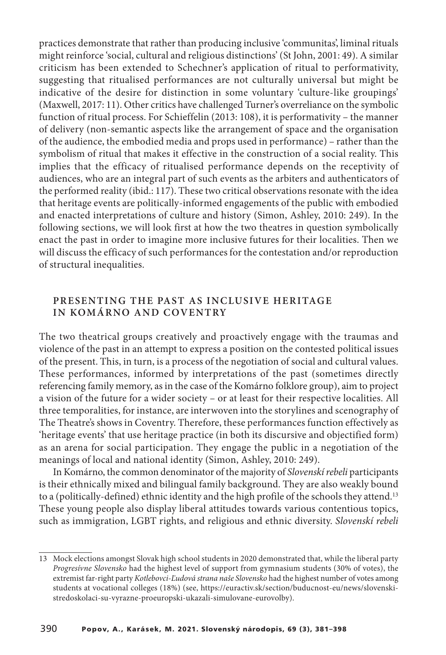practices demonstrate that rather than producing inclusive 'communitas', liminal rituals might reinforce 'social, cultural and religious distinctions' (St John, 2001: 49). A similar criticism has been extended to Schechner's application of ritual to performativity, suggesting that ritualised performances are not culturally universal but might be indicative of the desire for distinction in some voluntary 'culture-like groupings' (Maxwell, 2017: 11). Other critics have challenged Turner's overreliance on the symbolic function of ritual process. For Schieffelin (2013: 108), it is performativity – the manner of delivery (non-semantic aspects like the arrangement of space and the organisation of the audience, the embodied media and props used in performance) – rather than the symbolism of ritual that makes it effective in the construction of a social reality. This implies that the efficacy of ritualised performance depends on the receptivity of audiences, who are an integral part of such events as the arbiters and authenticators of the performed reality (ibid.: 117). These two critical observations resonate with the idea that heritage events are politically-informed engagements of the public with embodied and enacted interpretations of culture and history (Simon, Ashley, 2010: 249). In the following sections, we will look first at how the two theatres in question symbolically enact the past in order to imagine more inclusive futures for their localities. Then we will discuss the efficacy of such performances for the contestation and/or reproduction of structural inequalities.

### **PRESENTING THE PAST AS INCLUSIVE HERITAGE IN KOMÁRNO AND COVENTRY**

The two theatrical groups creatively and proactively engage with the traumas and violence of the past in an attempt to express a position on the contested political issues of the present. This, in turn, is a process of the negotiation of social and cultural values. These performances, informed by interpretations of the past (sometimes directly referencing family memory, asin the case of the Komárno folklore group), aim to project a vision of the future for a wider society – or at least for their respective localities. All three temporalities, for instance, are interwoven into the storylines and scenography of The Theatre's shows in Coventry. Therefore, these performances function effectively as 'heritage events' that use heritage practice (in both its discursive and objectified form) as an arena for social participation. They engage the public in a negotiation of the meanings of local and national identity (Simon, Ashley, 2010: 249).

In Komárno, the common denominator of the majority of Slovenskí rebeli participants is their ethnically mixed and bilingual family background. They are also weakly bound to a (politically-defined) ethnic identity and the high profile of the schools they attend. 13 These young people also display liberal attitudes towards various contentious topics, such as immigration, LGBT rights, and religious and ethnic diversity. Slovenskí rebeli

<sup>13</sup> Mock elections amongst Slovak high school students in 2020 demonstrated that, while the liberal party Progresívne Slovensko had the highest level of support from gymnasium students (30% of votes), the extremist far-right party Kotlebovci-Ľudová strana naše Slovensko had the highest number of votes among students at vocational colleges (18%) (see, https://euractiv.sk/section/buducnost-eu/news/slovenskistredoskolaci-su-vyrazne-proeuropski-ukazali-simulovane-eurovolby).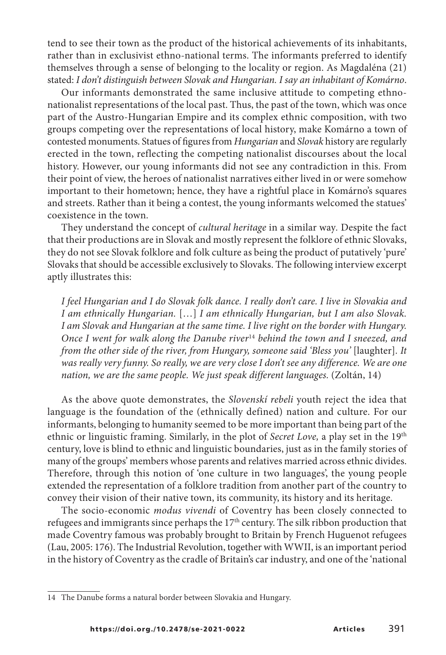tend to see their town as the product of the historical achievements of its inhabitants, rather than in exclusivist ethno-national terms. The informants preferred to identify themselves through a sense of belonging to the locality or region. As Magdaléna (21) stated: I don't distinguish between Slovak and Hungarian. I say an inhabitant of Komárno.

Our informants demonstrated the same inclusive attitude to competing ethnonationalist representations of the local past. Thus, the past of the town, which was once part of the Austro-Hungarian Empire and its complex ethnic composition, with two groups competing over the representations of local history, make Komárno a town of contested monuments. Statues of figures from Hungarian and Slovak history are regularly erected in the town, reflecting the competing nationalist discourses about the local history. However, our young informants did not see any contradiction in this. From their point of view, the heroes of nationalist narratives either lived in or were somehow important to their hometown; hence, they have a rightful place in Komárno's squares and streets. Rather than it being a contest, the young informants welcomed the statues' coexistence in the town.

They understand the concept of cultural heritage in a similar way. Despite the fact that their productions are in Slovak and mostly represent the folklore of ethnic Slovaks, they do not see Slovak folklore and folk culture as being the product of putatively 'pure' Slovaks that should be accessible exclusively to Slovaks. The following interview excerpt aptly illustrates this:

I feel Hungarian and I do Slovak folk dance. I really don't care. I live in Slovakia and I am ethnically Hungarian. […] I am ethnically Hungarian, but I am also Slovak. I am Slovak and Hungarian at the same time. I live right on the border with Hungary. Once I went for walk along the Danube river<sup>14</sup> behind the town and I sneezed, and from the other side of the river, from Hungary, someone said 'Bless you' [laughter]. It was really very funny. So really, we are very close I don't see any difference. We are one nation, we are the same people. We just speak different languages. (Zoltán, 14)

As the above quote demonstrates, the Slovenskí rebeli youth reject the idea that language is the foundation of the (ethnically defined) nation and culture. For our informants, belonging to humanity seemed to be more important than being part of the ethnic or linguistic framing. Similarly, in the plot of Secret Love, a play set in the 19<sup>th</sup> century, love is blind to ethnic and linguistic boundaries, just as in the family stories of many of the groups' members whose parents and relatives married across ethnic divides. Therefore, through this notion of 'one culture in two languages', the young people extended the representation of a folklore tradition from another part of the country to convey their vision of their native town, its community, its history and its heritage.

The socio-economic modus vivendi of Coventry has been closely connected to refugees and immigrants since perhaps the 17<sup>th</sup> century. The silk ribbon production that made Coventry famous was probably brought to Britain by French Huguenot refugees (Lau, 2005: 176). The Industrial Revolution, together with WWII, is an important period in the history of Coventry as the cradle of Britain's car industry, and one of the 'national

<sup>14</sup> The Danube forms a natural border between Slovakia and Hungary.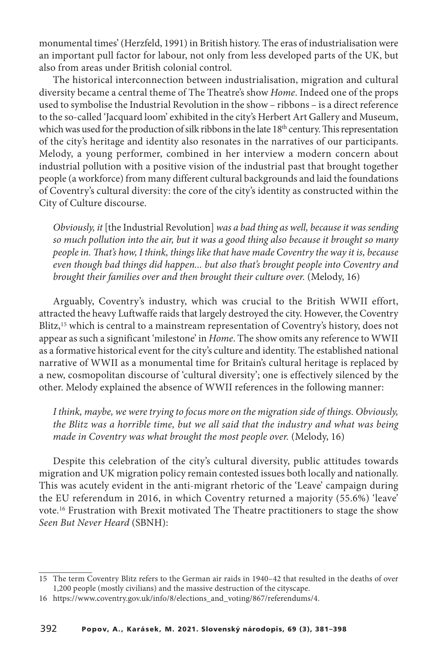monumental times' (Herzfeld, 1991) in British history. The eras of industrialisation were an important pull factor for labour, not only from less developed parts of the UK, but also from areas under British colonial control.

The historical interconnection between industrialisation, migration and cultural diversity became a central theme of The Theatre's show Home. Indeed one of the props used to symbolise the Industrial Revolution in the show – ribbons – is a direct reference to the so-called 'Jacquard loom' exhibited in the city's Herbert Art Gallery and Museum, which was used for the production of silk ribbons in the late 18<sup>th</sup> century. This representation of the city's heritage and identity also resonates in the narratives of our participants. Melody, a young performer, combined in her interview a modern concern about industrial pollution with a positive vision of the industrial past that brought together people (a workforce) from many different cultural backgrounds and laid the foundations of Coventry's cultural diversity: the core of the city's identity as constructed within the City of Culture discourse.

Obviously, it [the Industrial Revolution] was a bad thing as well, because it was sending so much pollution into the air, but it was a good thing also because it brought so many people in. That's how, I think, things like that have made Coventry the way it is, because even though bad things did happen... but also that's brought people into Coventry and brought their families over and then brought their culture over. (Melody, 16)

Arguably, Coventry's industry, which was crucial to the British WWII effort, attracted the heavy Luftwaffe raids that largely destroyed the city. However, the Coventry Blitz, <sup>15</sup> which is central to a mainstream representation of Coventry's history, does not appear as such a significant 'milestone' in Home. The show omits any reference to WWII as a formative historical event for the city's culture and identity. The established national narrative of WWII as a monumental time for Britain's cultural heritage is replaced by a new, cosmopolitan discourse of 'cultural diversity'; one is effectively silenced by the other. Melody explained the absence of WWII references in the following manner:

I think, maybe, we were trying to focus more on the migration side of things. Obviously, the Blitz was a horrible time, but we all said that the industry and what was being made in Coventry was what brought the most people over. (Melody, 16)

Despite this celebration of the city's cultural diversity, public attitudes towards migration and UK migration policy remain contested issues both locally and nationally. This was acutely evident in the anti-migrant rhetoric of the 'Leave' campaign during the EU referendum in 2016, in which Coventry returned a majority (55.6%) 'leave' vote. <sup>16</sup> Frustration with Brexit motivated The Theatre practitioners to stage the show Seen But Never Heard (SBNH):

<sup>15</sup> The term Coventry Blitz refers to the German air raids in 1940–42 that resulted in the deaths of over 1,200 people (mostly civilians) and the massive destruction of the cityscape.

<sup>16</sup> https://www.coventry.gov.uk/info/8/elections\_and\_voting/867/referendums/4.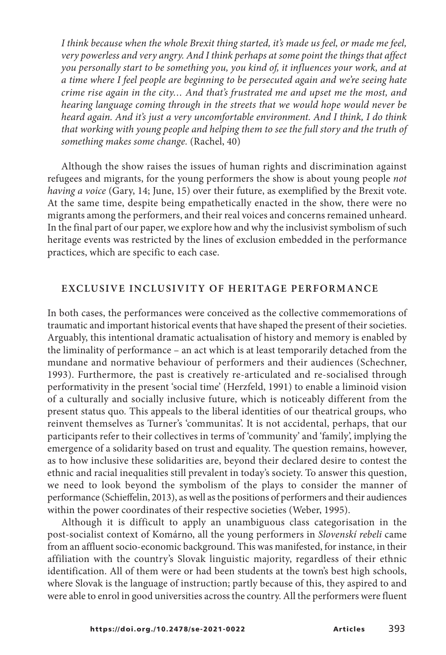I think because when the whole Brexit thing started, it's made us feel, or made me feel, very powerless and very angry. And I think perhaps at some point the things that affect you personally start to be something you, you kind of, it influences your work, and at a time where I feel people are beginning to be persecuted again and we're seeing hate crime rise again in the city… And that's frustrated me and upset me the most, and hearing language coming through in the streets that we would hope would never be heard again. And it's just a very uncomfortable environment. And I think, I do think that working with young people and helping them to see the full story and the truth of something makes some change. (Rachel, 40)

Although the show raises the issues of human rights and discrimination against refugees and migrants, for the young performers the show is about young people *not* having a voice (Gary, 14; June, 15) over their future, as exemplified by the Brexit vote. At the same time, despite being empathetically enacted in the show, there were no migrants among the performers, and their real voices and concerns remained unheard. In the final part of our paper, we explore how and why the inclusivist symbolism of such heritage events was restricted by the lines of exclusion embedded in the performance practices, which are specific to each case.

#### **EXCLUSIVE INCLUSIVITY OF HERITAGE PERFORMANCE**

In both cases, the performances were conceived as the collective commemorations of traumatic and important historical events that have shaped the present of their societies. Arguably, this intentional dramatic actualisation of history and memory is enabled by the liminality of performance – an act which is at least temporarily detached from the mundane and normative behaviour of performers and their audiences (Schechner, 1993). Furthermore, the past is creatively re-articulated and re-socialised through performativity in the present 'social time' (Herzfeld, 1991) to enable a liminoid vision of a culturally and socially inclusive future, which is noticeably different from the present status quo. This appeals to the liberal identities of our theatrical groups, who reinvent themselves as Turner's 'communitas'. It is not accidental, perhaps, that our participants refer to their collectives in terms of 'community' and 'family', implying the emergence of a solidarity based on trust and equality. The question remains, however, as to how inclusive these solidarities are, beyond their declared desire to contest the ethnic and racial inequalities still prevalent in today's society. To answer this question, we need to look beyond the symbolism of the plays to consider the manner of performance (Schieffelin, 2013), aswell asthe positions of performers and their audiences within the power coordinates of their respective societies (Weber, 1995).

Although it is difficult to apply an unambiguous class categorisation in the post-socialist context of Komárno, all the young performers in Slovenskí rebeli came from an affluent socio-economic background. This was manifested, for instance, in their affiliation with the country's Slovak linguistic majority, regardless of their ethnic identification. All of them were or had been students at the town's best high schools, where Slovak is the language of instruction; partly because of this, they aspired to and were able to enrol in good universities across the country. All the performers were fluent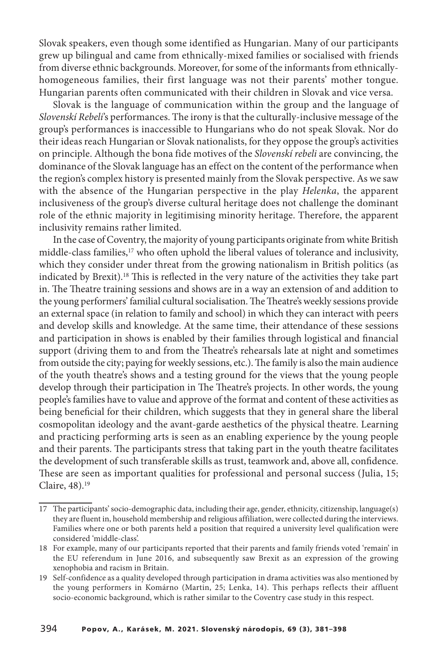Slovak speakers, even though some identified as Hungarian. Many of our participants grew up bilingual and came from ethnically-mixed families or socialised with friends from diverse ethnic backgrounds. Moreover, for some of the informants from ethnicallyhomogeneous families, their first language was not their parents' mother tongue. Hungarian parents often communicated with their children in Slovak and vice versa.

Slovak is the language of communication within the group and the language of Slovenskí Rebeli's performances. The irony is that the culturally-inclusive message of the group's performances is inaccessible to Hungarians who do not speak Slovak. Nor do their ideas reach Hungarian or Slovak nationalists, for they oppose the group's activities on principle. Although the bona fide motives of the Slovenskí rebeli are convincing, the dominance of the Slovak language has an effect on the content of the performance when the region's complex history is presented mainly from the Slovak perspective. As we saw with the absence of the Hungarian perspective in the play Helenka, the apparent inclusiveness of the group's diverse cultural heritage does not challenge the dominant role of the ethnic majority in legitimising minority heritage. Therefore, the apparent inclusivity remains rather limited.

In the case ofCoventry, the majority of young participants originate from white British middle-class families,<sup>17</sup> who often uphold the liberal values of tolerance and inclusivity, which they consider under threat from the growing nationalism in British politics (as indicated by Brexit).<sup>18</sup> This is reflected in the very nature of the activities they take part in. The Theatre training sessions and shows are in a way an extension of and addition to the young performers' familial cultural socialisation. The Theatre's weekly sessions provide an external space (in relation to family and school) in which they can interact with peers and develop skills and knowledge. At the same time, their attendance of these sessions and participation in shows is enabled by their families through logistical and financial support (driving them to and from the Theatre's rehearsals late at night and sometimes from outside the city; paying for weekly sessions, etc.). The family is also the main audience of the youth theatre's shows and a testing ground for the views that the young people develop through their participation in The Theatre's projects. In other words, the young people's families have to value and approve of the format and content of these activities as being beneficial for their children, which suggests that they in general share the liberal cosmopolitan ideology and the avant-garde aesthetics of the physical theatre. Learning and practicing performing arts is seen as an enabling experience by the young people and their parents. The participants stress that taking part in the youth theatre facilitates the development of such transferable skills as trust, teamwork and, above all, confidence. These are seen as important qualities for professional and personal success (Julia, 15; Claire, 48). 19

<sup>17</sup> The participants' socio-demographic data, including their age, gender, ethnicity, citizenship, language(s) they are fluent in, household membership and religious affiliation, were collected during the interviews. Families where one or both parents held a position that required a university level qualification were considered 'middle-class'.

<sup>18</sup> For example, many of our participants reported that their parents and family friends voted 'remain' in the EU referendum in June 2016, and subsequently saw Brexit as an expression of the growing xenophobia and racism in Britain.

<sup>19</sup> Self-confidence as a quality developed through participation in drama activities was also mentioned by the young performers in Komárno (Martin, 25; Lenka, 14). This perhaps reflects their affluent socio-economic background, which is rather similar to the Coventry case study in this respect.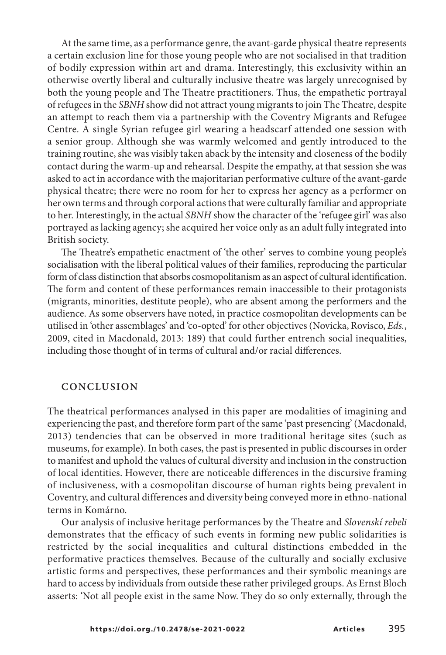At the same time, as a performance genre, the avant-garde physical theatre represents a certain exclusion line for those young people who are not socialised in that tradition of bodily expression within art and drama. Interestingly, this exclusivity within an otherwise overtly liberal and culturally inclusive theatre was largely unrecognised by both the young people and The Theatre practitioners. Thus, the empathetic portrayal ofrefugeesin the SBNH show did not attract young migrantsto join The Theatre, despite an attempt to reach them via a partnership with the Coventry Migrants and Refugee Centre. A single Syrian refugee girl wearing a headscarf attended one session with a senior group. Although she was warmly welcomed and gently introduced to the training routine, she was visibly taken aback by the intensity and closeness of the bodily contact during the warm-up and rehearsal. Despite the empathy, at that session she was asked to act in accordance with the majoritarian performative culture of the avant-garde physical theatre; there were no room for her to express her agency as a performer on her own terms and through corporal actionsthat were culturally familiar and appropriate to her. Interestingly, in the actual SBNH show the character of the 'refugee girl' was also portrayed as lacking agency; she acquired her voice only as an adult fully integrated into British society.

The Theatre's empathetic enactment of 'the other' serves to combine young people's socialisation with the liberal political values of their families, reproducing the particular form of class distinction that absorbs cosmopolitanism as an aspect of cultural identification. The form and content of these performances remain inaccessible to their protagonists (migrants, minorities, destitute people), who are absent among the performers and the audience. As some observers have noted, in practice cosmopolitan developments can be utilised in 'other assemblages' and 'co-opted' for other objectives (Novicka, Rovisco, Eds., 2009, cited in Macdonald, 2013: 189) that could further entrench social inequalities, including those thought of in terms of cultural and/or racial differences.

### **CONCLUSION**

The theatrical performances analysed in this paper are modalities of imagining and experiencing the past, and therefore form part of the same 'past presencing' (Macdonald, 2013) tendencies that can be observed in more traditional heritage sites (such as museums, for example). In both cases, the past is presented in public discourses in order to manifest and uphold the values of cultural diversity and inclusion in the construction of local identities. However, there are noticeable differences in the discursive framing of inclusiveness, with a cosmopolitan discourse of human rights being prevalent in Coventry, and cultural differences and diversity being conveyed more in ethno-national terms in Komárno.

Our analysis of inclusive heritage performances by the Theatre and Slovenskí rebeli demonstrates that the efficacy of such events in forming new public solidarities is restricted by the social inequalities and cultural distinctions embedded in the performative practices themselves. Because of the culturally and socially exclusive artistic forms and perspectives, these performances and their symbolic meanings are hard to access by individuals from outside these rather privileged groups. As Ernst Bloch asserts: 'Not all people exist in the same Now. They do so only externally, through the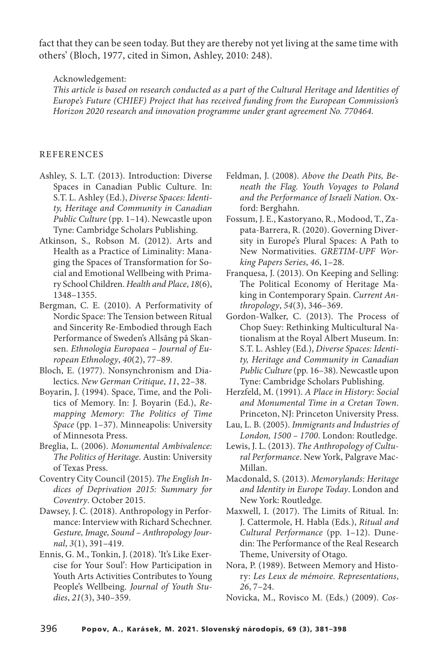fact that they can be seen today. But they are thereby not yet living at the same time with others' (Bloch, 1977, cited in Simon, Ashley, 2010: 248).

Acknowledgement:

This article is based on research conducted as a part of the Cultural Heritage and Identities of Europe's Future (CHIEF) Project that has received funding from the European Commission's Horizon 2020 research and innovation programme under grant agreement No. 770464.

#### **REFERENCES**

- Ashley, S. L.T. (2013). Introduction: Diverse Spaces in Canadian Public Culture. In: S.T. L. Ashley (Ed.), Diverse Spaces: Identity, Heritage and Community in Canadian Public Culture (pp. 1–14). Newcastle upon Tyne: Cambridge Scholars Publishing.
- Atkinson, S., Robson M. (2012). Arts and Health as a Practice of Liminality: Managing the Spaces of Transformation for Social and Emotional Wellbeing with Primary School Children. Health and Place, 18(6), 1348–1355.
- Bergman, C. E. (2010). A Performativity of Nordic Space: The Tension between Ritual and Sincerity Re-Embodied through Each Performance of Sweden's Allsång på Skansen. Ethnologia Europaea – Journal of European Ethnology, 40(2), 77–89.
- Bloch, E. (1977). Nonsynchronism and Dialectics. New German Critique, 11, 22–38.
- Boyarin, J. (1994). Space, Time, and the Politics of Memory. In: J. Boyarin (Ed.), Remapping Memory: The Politics of Time Space (pp. 1–37). Minneapolis: University of Minnesota Press.
- Breglia, L. (2006). Monumental Ambivalence: The Politics of Heritage. Austin: University of Texas Press.
- Coventry City Council (2015). The English Indices of Deprivation 2015: Summary for Coventry. October 2015.
- Dawsey, J. C. (2018). Anthropology in Performance: Interview with Richard Schechner. Gesture, Image, Sound – Anthropology Journal, 3(1), 391–419.
- Ennis, G. M., Tonkin, J. (2018). 'It's Like Exercise for Your Soul': How Participation in Youth Arts Activities Contributes to Young People's Wellbeing. Journal of Youth Studies, 21(3), 340–359.
- Feldman, J. (2008). Above the Death Pits, Beneath the Flag. Youth Voyages to Poland and the Performance of Israeli Nation. Oxford: Berghahn.
- Fossum, J. E., Kastoryano, R., Modood, T., Zapata-Barrera, R. (2020). Governing Diversity in Europe's Plural Spaces: A Path to New Normativities. GRETIM-UPF Working Papers Series, 46, 1–28.
- Franquesa, J. (2013). On Keeping and Selling: The Political Economy of Heritage Making in Contemporary Spain. Current Anthropology, 54(3), 346–369.
- Gordon-Walker, C. (2013). The Process of Chop Suey: Rethinking Multicultural Nationalism at the Royal Albert Museum. In: S.T. L. Ashley (Ed.), Diverse Spaces: Identity, Heritage and Community in Canadian Public Culture (pp. 16–38). Newcastle upon Tyne: Cambridge Scholars Publishing.
- Herzfeld, M. (1991). A Place in History: Social and Monumental Time in a Cretan Town. Princeton, NJ: Princeton University Press.
- Lau, L. B. (2005). Immigrants and Industries of London, 1500 – 1700. London: Routledge.
- Lewis, J. L. (2013). The Anthropology of Cultural Performance. New York, Palgrave Mac-Millan.
- Macdonald, S. (2013). Memorylands: Heritage and Identity in Europe Today. London and New York: Routledge.
- Maxwell, I. (2017). The Limits of Ritual. In: J. Cattermole, H. Habla (Eds.), Ritual and Cultural Performance (pp. 1–12). Dunedin: The Performance of the Real Research Theme, University of Otago.
- Nora, P. (1989). Between Memory and History: Les Leux de mémoire. Representations, 26, 7–24.
- Novicka, M., Rovisco M. (Eds.) (2009). Cos-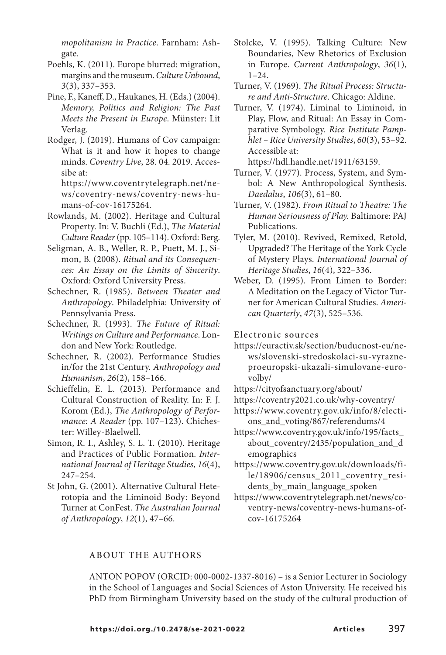mopolitanism in Practice. Farnham: Ashgate.

- Poehls, K. (2011). Europe blurred: migration, margins and the museum. Culture Unbound, 3(3), 337–353.
- Pine, F., Kaneff, D., Haukanes, H. (Eds.) (2004). Memory, Politics and Religion: The Past Meets the Present in Europe. Münster: Lit Verlag.
- Rodger, J. (2019). Humans of Cov campaign: What is it and how it hopes to change minds. Coventry Live, 28. 04. 2019. Accessibe at:

https://www.coventrytelegraph.net/news/coventry-news/coventry-news-humans-of-cov-16175264.

- Rowlands, M. (2002). Heritage and Cultural Property. In: V. Buchli (Ed.), The Material Culture Reader(pp. 105–114). Oxford: Berg.
- Seligman, A. B., Weller, R. P., Puett, M. J., Simon, B. (2008). Ritual and its Consequences: An Essay on the Limits of Sincerity. Oxford: Oxford University Press.
- Schechner, R. (1985). Between Theater and Anthropology. Philadelphia: University of Pennsylvania Press.
- Schechner, R. (1993). The Future of Ritual: Writings on Culture and Performance. London and New York: Routledge.
- Schechner, R. (2002). Performance Studies in/for the 21st Century. Anthropology and Humanism, 26(2), 158–166.
- Schieffelin, E. L. (2013). Performance and Cultural Construction of Reality. In: F. J. Korom (Ed.), The Anthropology of Performance: A Reader (pp. 107–123). Chichester: Willey-Blaelwell.
- Simon, R. I., Ashley, S. L. T. (2010). Heritage and Practices of Public Formation. International Journal of Heritage Studies, 16(4), 247–254.
- St John, G. (2001). Alternative Cultural Heterotopia and the Liminoid Body: Beyond Turner at ConFest. The Australian Journal of Anthropology, 12(1), 47–66.
- Stolcke, V. (1995). Talking Culture: New Boundaries, New Rhetorics of Exclusion in Europe. Current Anthropology, 36(1),  $1 - 24$
- Turner, V. (1969). The Ritual Process: Structure and Anti-Structure. Chicago: Aldine.
- Turner, V. (1974). Liminal to Liminoid, in Play, Flow, and Ritual: An Essay in Comparative Symbology. Rice Institute Pamphlet – Rice University Studies, 60(3), 53–92. Accessible at:

https://hdl.handle.net/1911/63159.

- Turner, V. (1977). Process, System, and Symbol: A New Anthropological Synthesis. Daedalus, 106(3), 61–80.
- Turner, V. (1982). From Ritual to Theatre: The Human Seriousness of Play. Baltimore: PAJ Publications.
- Tyler, M. (2010). Revived, Remixed, Retold, Upgraded? The Heritage of the York Cycle of Mystery Plays. International Journal of Heritage Studies, 16(4), 322–336.
- Weber, D. (1995). From Limen to Border: A Meditation on the Legacy of Victor Turner for American Cultural Studies. American Quarterly, 47(3), 525–536.

Electronic sources

- https://euractiv.sk/section/buducnost-eu/news/slovenski-stredoskolaci-su-vyrazneproeuropski-ukazali-simulovane-eurovolby/
- https://cityofsanctuary.org/about/
- https://coventry2021.co.uk/why-coventry/
- https://www.coventry.gov.uk/info/8/elections and voting/867/referendums/4
- https://www.coventry.gov.uk/info/195/facts\_ about\_coventry/2435/population\_and\_d emographics
- https://www.coventry.gov.uk/downloads/file/18906/census\_2011\_coventry\_residents\_by\_main\_language\_spoken
- https://www.coventrytelegraph.net/news/coventry-news/coventry-news-humans-ofcov-16175264

# ABOUT THE AUTHORS

ANTON POPOV (ORCID: 000-0002-1337-8016) – is a Senior Lecturer in Sociology in the School of Languages and Social Sciences of Aston University. He received his PhD from Birmingham University based on the study of the cultural production of